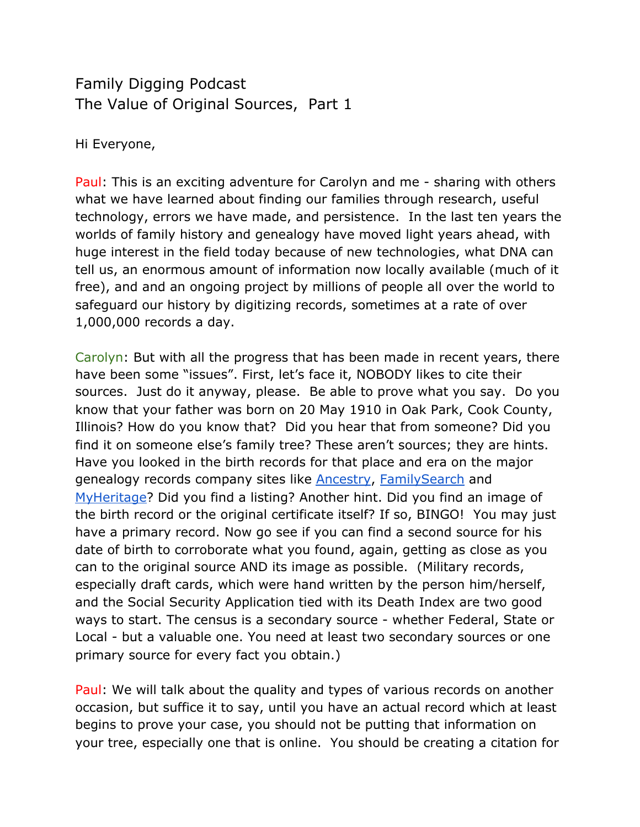## Family Digging Podcast The Value of Original Sources, Part 1

Hi Everyone,

Paul: This is an exciting adventure for Carolyn and me - sharing with others what we have learned about finding our families through research, useful technology, errors we have made, and persistence. In the last ten years the worlds of family history and genealogy have moved light years ahead, with huge interest in the field today because of new technologies, what DNA can tell us, an enormous amount of information now locally available (much of it free), and and an ongoing project by millions of people all over the world to safeguard our history by digitizing records, sometimes at a rate of over 1,000,000 records a day.

Carolyn: But with all the progress that has been made in recent years, there have been some "issues". First, let's face it, NOBODY likes to cite their sources. Just do it anyway, please. Be able to prove what you say. Do you know that your father was born on 20 May 1910 in Oak Park, Cook County, Illinois? How do you know that? Did you hear that from someone? Did you find it on someone else's family tree? These aren't sources; they are hints. Have you looked in the birth records for that place and era on the major genealogy records company sites like **Ancestry, FamilySearch** and [MyHeritage](https://www.myheritage.com/)? Did you find a listing? Another hint. Did you find an image of the birth record or the original certificate itself? If so, BINGO! You may just have a primary record. Now go see if you can find a second source for his date of birth to corroborate what you found, again, getting as close as you can to the original source AND its image as possible. (Military records, especially draft cards, which were hand written by the person him/herself, and the Social Security Application tied with its Death Index are two good ways to start. The census is a secondary source - whether Federal, State or Local - but a valuable one. You need at least two secondary sources or one primary source for every fact you obtain.)

Paul: We will talk about the quality and types of various records on another occasion, but suffice it to say, until you have an actual record which at least begins to prove your case, you should not be putting that information on your tree, especially one that is online. You should be creating a citation for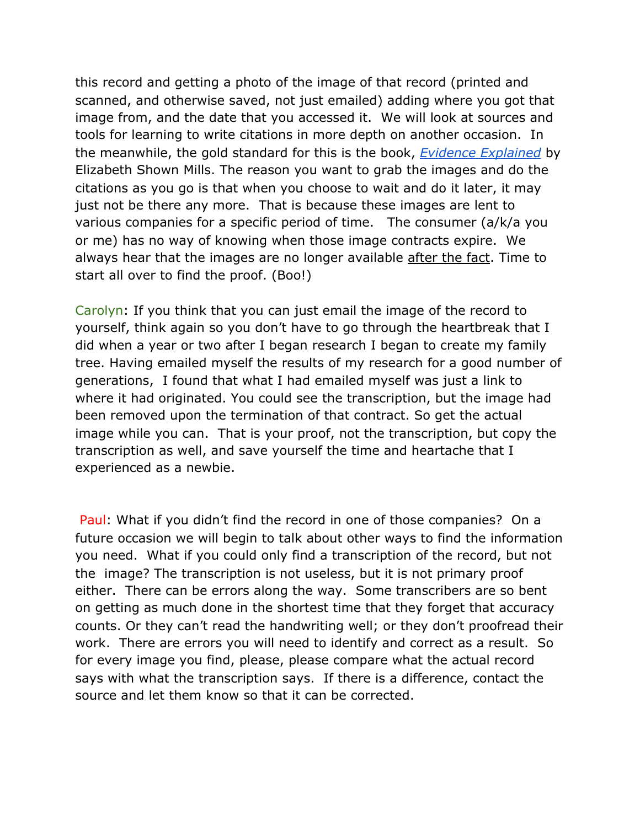this record and getting a photo of the image of that record (printed and scanned, and otherwise saved, not just emailed) adding where you got that image from, and the date that you accessed it. We will look at sources and tools for learning to write citations in more depth on another occasion. In the meanwhile, the gold standard for this is the book, *[Evidence Explained](https://www.evidenceexplained.com/)* by Elizabeth Shown Mills. The reason you want to grab the images and do the citations as you go is that when you choose to wait and do it later, it may just not be there any more. That is because these images are lent to various companies for a specific period of time. The consumer (a/k/a you or me) has no way of knowing when those image contracts expire. We always hear that the images are no longer available after the fact. Time to start all over to find the proof. (Boo!)

Carolyn: If you think that you can just email the image of the record to yourself, think again so you don't have to go through the heartbreak that I did when a year or two after I began research I began to create my family tree. Having emailed myself the results of my research for a good number of generations, I found that what I had emailed myself was just a link to where it had originated. You could see the transcription, but the image had been removed upon the termination of that contract. So get the actual image while you can. That is your proof, not the transcription, but copy the transcription as well, and save yourself the time and heartache that I experienced as a newbie.

 Paul: What if you didn't find the record in one of those companies? On a future occasion we will begin to talk about other ways to find the information you need. What if you could only find a transcription of the record, but not the image? The transcription is not useless, but it is not primary proof either. There can be errors along the way. Some transcribers are so bent on getting as much done in the shortest time that they forget that accuracy counts. Or they can't read the handwriting well; or they don't proofread their work. There are errors you will need to identify and correct as a result. So for every image you find, please, please compare what the actual record says with what the transcription says. If there is a difference, contact the source and let them know so that it can be corrected.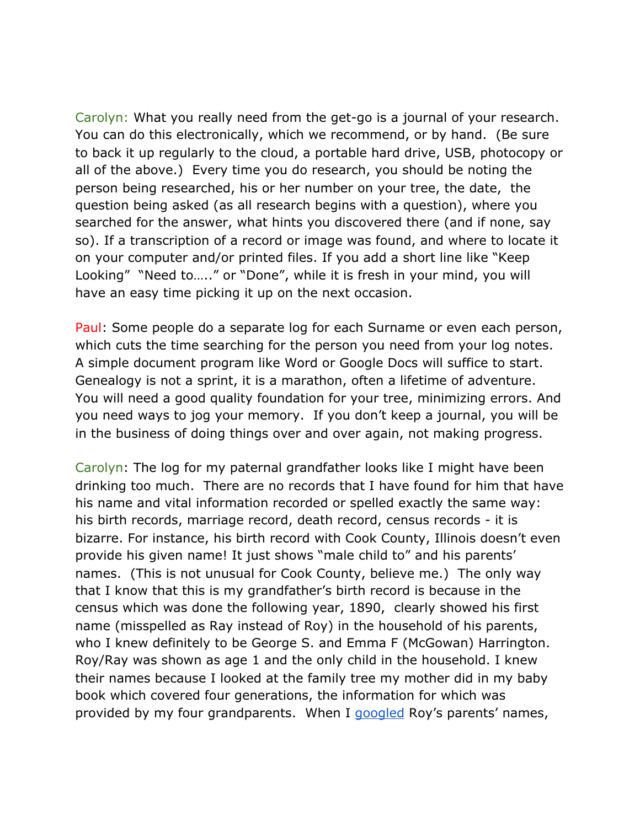Carolyn: What you really need from the get-go is a journal of your research. You can do this electronically, which we recommend, or by hand. (Be sure to back it up regularly to the cloud, a portable hard drive, USB, photocopy or all of the above.) Every time you do research, you should be noting the person being researched, his or her number on your tree, the date, the question being asked (as all research begins with a question), where you searched for the answer, what hints you discovered there (and if none, say so). If a transcription of a record or image was found, and where to locate it on your computer and/or printed files. If you add a short line like "Keep Looking" "Need to….." or "Done", while it is fresh in your mind, you will have an easy time picking it up on the next occasion.

Paul: Some people do a separate log for each Surname or even each person, which cuts the time searching for the person you need from your log notes. A simple document program like Word or Google Docs will suffice to start. Genealogy is not a sprint, it is a marathon, often a lifetime of adventure. You will need a good quality foundation for your tree, minimizing errors. And you need ways to jog your memory. If you don't keep a journal, you will be in the business of doing things over and over again, not making progress.

Carolyn: The log for my paternal grandfather looks like I might have been drinking too much. There are no records that I have found for him that have his name and vital information recorded or spelled exactly the same way: his birth records, marriage record, death record, census records - it is bizarre. For instance, his birth record with Cook County, Illinois doesn't even provide his given name! It just shows "male child to" and his parents' names. (This is not unusual for Cook County, believe me.) The only way that I know that this is my grandfather's birth record is because in the census which was done the following year, 1890, clearly showed his first name (misspelled as Ray instead of Roy) in the household of his parents, who I knew definitely to be George S. and Emma F (McGowan) Harrington. Roy/Ray was shown as age 1 and the only child in the household. I knew their names because I looked at the family tree my mother did in my baby book which covered four generations, the information for which was provided by my four grandparents. When I [googled](https://www.google.com/) Roy's parents' names,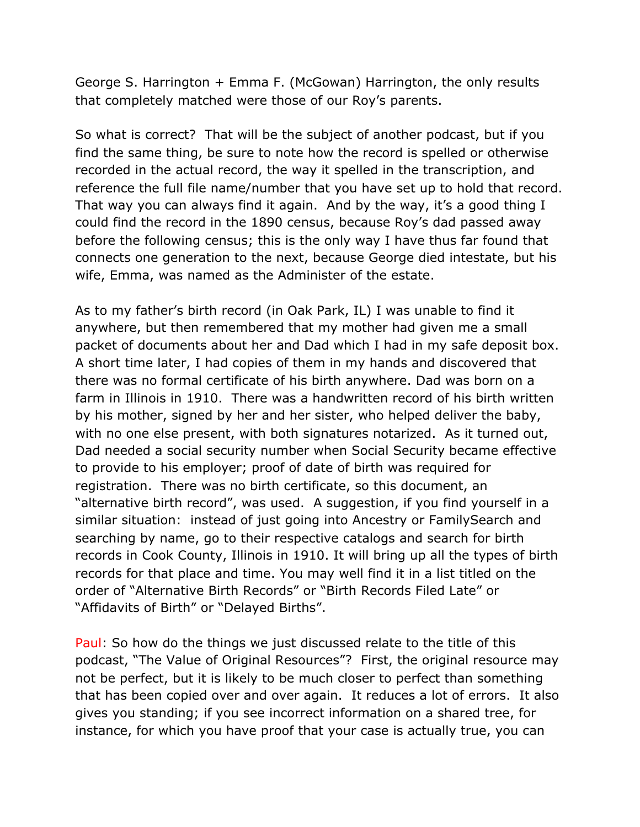George S. Harrington + Emma F. (McGowan) Harrington, the only results that completely matched were those of our Roy's parents.

So what is correct? That will be the subject of another podcast, but if you find the same thing, be sure to note how the record is spelled or otherwise recorded in the actual record, the way it spelled in the transcription, and reference the full file name/number that you have set up to hold that record. That way you can always find it again. And by the way, it's a good thing I could find the record in the 1890 census, because Roy's dad passed away before the following census; this is the only way I have thus far found that connects one generation to the next, because George died intestate, but his wife, Emma, was named as the Administer of the estate.

As to my father's birth record (in Oak Park, IL) I was unable to find it anywhere, but then remembered that my mother had given me a small packet of documents about her and Dad which I had in my safe deposit box. A short time later, I had copies of them in my hands and discovered that there was no formal certificate of his birth anywhere. Dad was born on a farm in Illinois in 1910. There was a handwritten record of his birth written by his mother, signed by her and her sister, who helped deliver the baby, with no one else present, with both signatures notarized. As it turned out, Dad needed a social security number when Social Security became effective to provide to his employer; proof of date of birth was required for registration. There was no birth certificate, so this document, an "alternative birth record", was used. A suggestion, if you find yourself in a similar situation: instead of just going into Ancestry or FamilySearch and searching by name, go to their respective catalogs and search for birth records in Cook County, Illinois in 1910. It will bring up all the types of birth records for that place and time. You may well find it in a list titled on the order of "Alternative Birth Records" or "Birth Records Filed Late" or "Affidavits of Birth" or "Delayed Births".

Paul: So how do the things we just discussed relate to the title of this podcast, "The Value of Original Resources"? First, the original resource may not be perfect, but it is likely to be much closer to perfect than something that has been copied over and over again. It reduces a lot of errors. It also gives you standing; if you see incorrect information on a shared tree, for instance, for which you have proof that your case is actually true, you can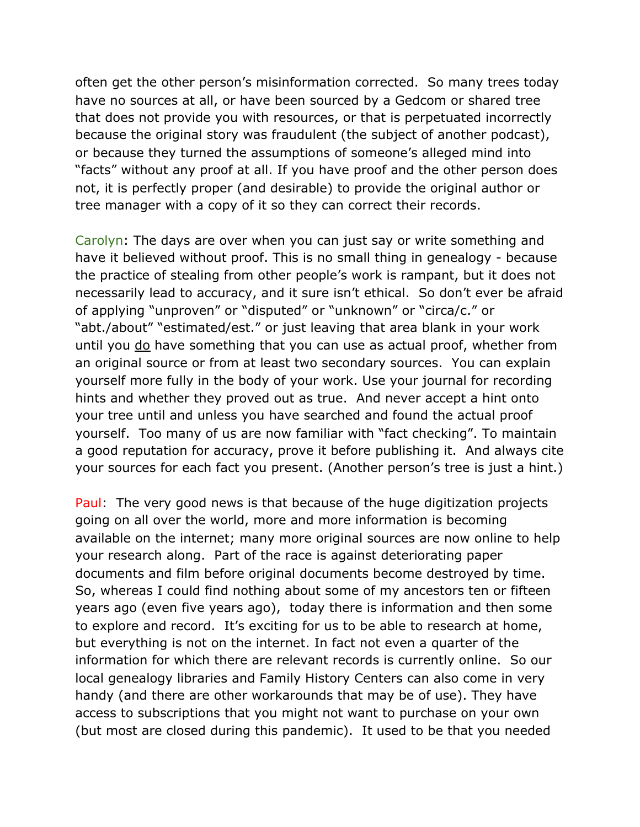often get the other person's misinformation corrected. So many trees today have no sources at all, or have been sourced by a Gedcom or shared tree that does not provide you with resources, or that is perpetuated incorrectly because the original story was fraudulent (the subject of another podcast), or because they turned the assumptions of someone's alleged mind into "facts" without any proof at all. If you have proof and the other person does not, it is perfectly proper (and desirable) to provide the original author or tree manager with a copy of it so they can correct their records.

Carolyn: The days are over when you can just say or write something and have it believed without proof. This is no small thing in genealogy - because the practice of stealing from other people's work is rampant, but it does not necessarily lead to accuracy, and it sure isn't ethical. So don't ever be afraid of applying "unproven" or "disputed" or "unknown" or "circa/c." or "abt./about" "estimated/est." or just leaving that area blank in your work until you do have something that you can use as actual proof, whether from an original source or from at least two secondary sources. You can explain yourself more fully in the body of your work. Use your journal for recording hints and whether they proved out as true. And never accept a hint onto your tree until and unless you have searched and found the actual proof yourself. Too many of us are now familiar with "fact checking". To maintain a good reputation for accuracy, prove it before publishing it. And always cite your sources for each fact you present. (Another person's tree is just a hint.)

Paul: The very good news is that because of the huge digitization projects going on all over the world, more and more information is becoming available on the internet; many more original sources are now online to help your research along. Part of the race is against deteriorating paper documents and film before original documents become destroyed by time. So, whereas I could find nothing about some of my ancestors ten or fifteen years ago (even five years ago), today there is information and then some to explore and record. It's exciting for us to be able to research at home, but everything is not on the internet. In fact not even a quarter of the information for which there are relevant records is currently online. So our local genealogy libraries and Family History Centers can also come in very handy (and there are other workarounds that may be of use). They have access to subscriptions that you might not want to purchase on your own (but most are closed during this pandemic). It used to be that you needed